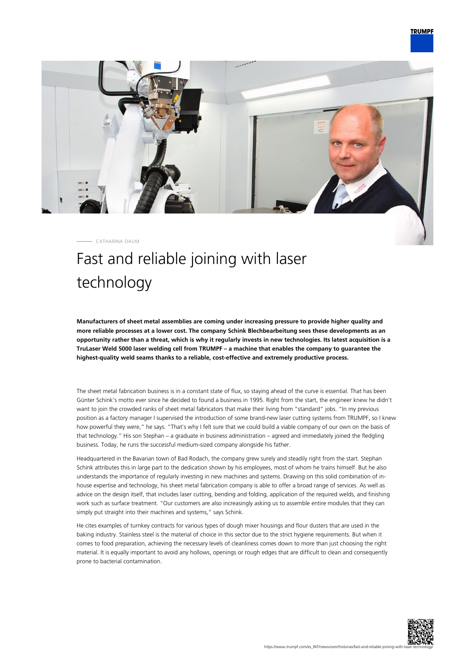

CATHARINA DAUM

## Fast and reliable joining with laser technology

**Manufacturers of sheet metal assemblies are coming under increasing pressure to provide higher quality and more reliable processes at a lower cost. The company Schink Blechbearbeitung sees these developments as an opportunity rather than a threat, which is why it regularly invests in new technologies. Its latest acquisition is a TruLaser Weld 5000 laser welding cell from TRUMPF – a machine that enables the company to guarantee the highest-quality weld seams thanks to a reliable, cost-effective and extremely productive process.**

The sheet metal fabrication business is in a constant state of flux, so staying ahead of the curve is essential. That has been Günter Schink's motto ever since he decided to found a business in 1995. Right from the start, the engineer knew he didn't want to join the crowded ranks of sheet metal fabricators that make their living from "standard" jobs. "In my previous position as a factory manager I supervised the introduction of some brand-new laser cutting systems from TRUMPF, so I knew how powerful they were," he says. "That's why I felt sure that we could build a viable company of our own on the basis of that technology." His son Stephan – a graduate in business administration – agreed and immediately joined the fledgling business. Today, he runs the successful medium-sized company alongside his father.

Headquartered in the Bavarian town of Bad Rodach, the company grew surely and steadily right from the start. Stephan Schink attributes this in large part to the dedication shown by his employees, most of whom he trains himself. But he also understands the importance of regularly investing in new machines and systems. Drawing on this solid combination of inhouse expertise and technology, his sheet metal fabrication company is able to offer a broad range of services. As well as advice on the design itself, that includes laser cutting, bending and folding, application of the required welds, and finishing work such as surface treatment. "Our customers are also increasingly asking us to assemble entire modules that they can simply put straight into their machines and systems," says Schink.

He cites examples of turnkey contracts for various types of dough mixer housings and flour dusters that are used in the baking industry. Stainless steel is the material of choice in this sector due to the strict hygiene requirements. But when it comes to food preparation, achieving the necessary levels of cleanliness comes down to more than just choosing the right material. It is equally important to avoid any hollows, openings or rough edges that are difficult to clean and consequently prone to bacterial contamination.

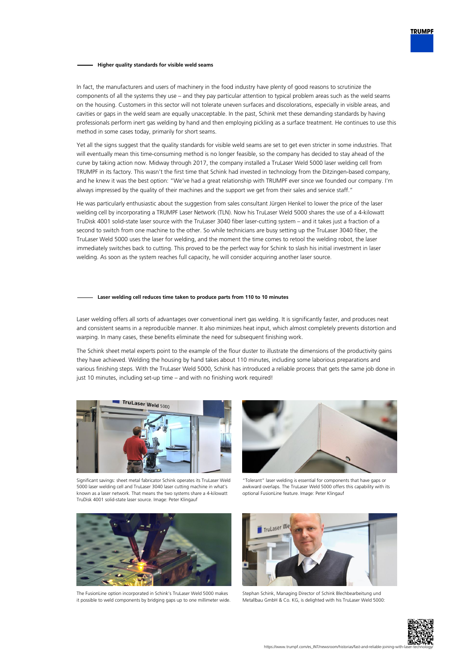## **Higher quality standards for visible weld seams**

In fact, the manufacturers and users of machinery in the food industry have plenty of good reasons to scrutinize the components of all the systems they use – and they pay particular attention to typical problem areas such as the weld seams on the housing. Customers in this sector will not tolerate uneven surfaces and discolorations, especially in visible areas, and cavities or gaps in the weld seam are equally unacceptable. In the past, Schink met these demanding standards by having professionals perform inert gas welding by hand and then employing pickling as a surface treatment. He continues to use this method in some cases today, primarily for short seams.

Yet all the signs suggest that the quality standards for visible weld seams are set to get even stricter in some industries. That will eventually mean this time-consuming method is no longer feasible, so the company has decided to stay ahead of the curve by taking action now. Midway through 2017, the company installed a TruLaser Weld 5000 laser welding cell from TRUMPF in its factory. This wasn't the first time that Schink had invested in technology from the Ditzingen-based company, and he knew it was the best option: "We've had a great relationship with TRUMPF ever since we founded our company. I'm always impressed by the quality of their machines and the support we get from their sales and service staff."

He was particularly enthusiastic about the suggestion from sales consultant Jürgen Henkel to lower the price of the laser welding cell by incorporating a TRUMPF Laser Network (TLN). Now his TruLaser Weld 5000 shares the use of a 4-kilowatt TruDisk 4001 solid-state laser source with the TruLaser 3040 fiber laser-cutting system – and it takes just a fraction of a second to switch from one machine to the other. So while technicians are busy setting up the TruLaser 3040 fiber, the TruLaser Weld 5000 uses the laser for welding, and the moment the time comes to retool the welding robot, the laser immediately switches back to cutting. This proved to be the perfect way for Schink to slash his initial investment in laser welding. As soon as the system reaches full capacity, he will consider acquiring another laser source.

## **Laser welding cell reduces time taken to produce parts from 110 to 10 minutes**

Laser welding offers all sorts of advantages over conventional inert gas welding. It is significantly faster, and produces neat and consistent seams in a reproducible manner. It also minimizes heat input, which almost completely prevents distortion and warping. In many cases, these benefits eliminate the need for subsequent finishing work.

The Schink sheet metal experts point to the example of the flour duster to illustrate the dimensions of the productivity gains they have achieved. Welding the housing by hand takes about 110 minutes, including some laborious preparations and various finishing steps. With the TruLaser Weld 5000, Schink has introduced a reliable process that gets the same job done in just 10 minutes, including set-up time – and with no finishing work required!



Significant savings: sheet metal fabricator Schink operates its TruLaser Weld 5000 laser welding cell and TruLaser 3040 laser cutting machine in what's known as a laser network. That means the two systems share a 4-kilowatt TruDisk 4001 solid-state laser source. Image: Peter Klingauf



"Tolerant" laser welding is essential for components that have gaps or awkward overlaps. The TruLaser Weld 5000 offers this capability with its optional FusionLine feature. Image: Peter Klingauf



The FusionLine option incorporated in Schink's TruLaser Weld 5000 makes it possible to weld components by bridging gaps up to one millimeter wide.



Stephan Schink, Managing Director of Schink Blechbearbeitung und Metallbau GmbH & Co. KG, is delighted with his TruLaser Weld 5000: